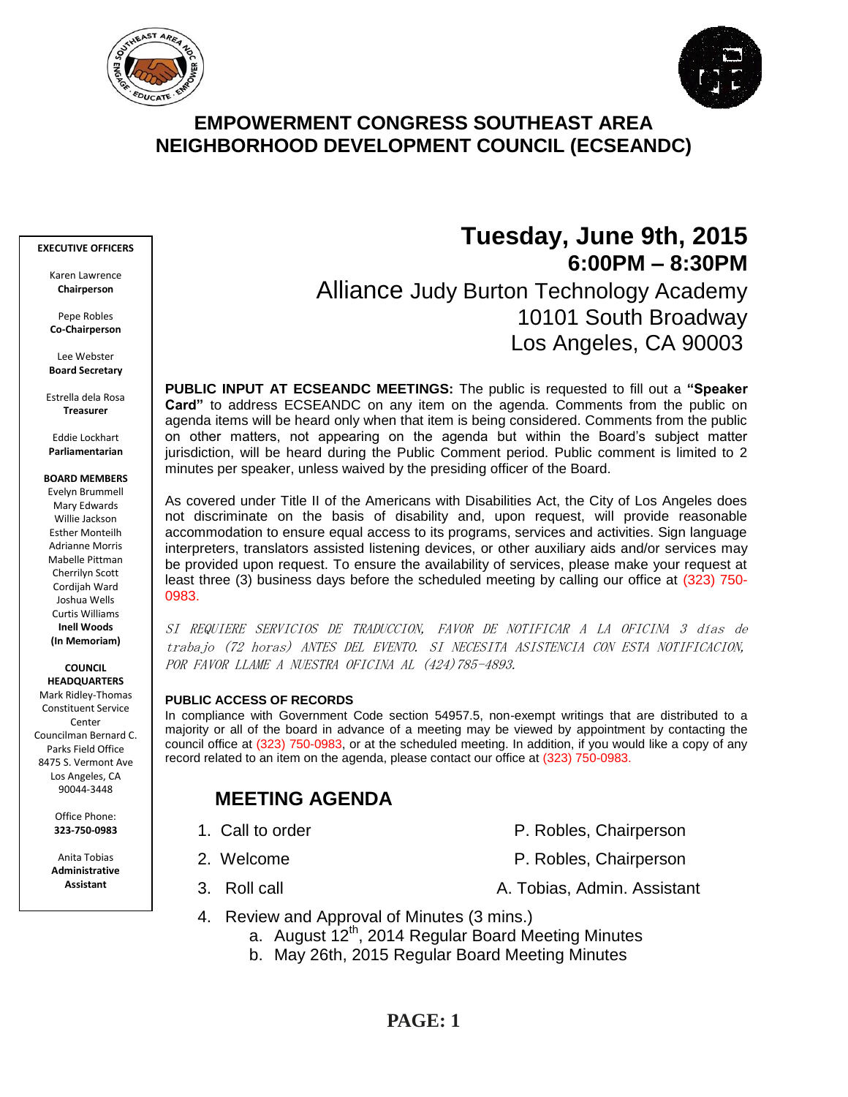



# **EMPOWERMENT CONGRESS SOUTHEAST AREA NEIGHBORHOOD DEVELOPMENT COUNCIL (ECSEANDC)**

#### **EXECUTIVE OFFICERS**

Karen Lawrence **Chairperson**

Pepe Robles **Co-Chairperson**

Lee Webster **Board Secretary**

Estrella dela Rosa **Treasurer**

Eddie Lockhart **Parliamentarian**

#### **BOARD MEMBERS**

Evelyn Brummell Mary Edwards Willie Jackson Esther Monteilh Adrianne Morris Mabelle Pittman Cherrilyn Scott Cordijah Ward Joshua Wells Curtis Williams **Inell Woods (In Memoriam)**

**COUNCIL HEADQUARTERS** Mark Ridley-Thomas Constituent Service **Center** 

Councilman Bernard C. Parks Field Office 8475 S. Vermont Ave Los Angeles, CA 90044-3448

> Office Phone: **323-750-0983**

Anita Tobias **Administrative Assistant**

# **Tuesday, June 9th, 2015 6:00PM – 8:30PM** Alliance Judy Burton Technology Academy 10101 South Broadway Los Angeles, CA 90003

**PUBLIC INPUT AT ECSEANDC MEETINGS:** The public is requested to fill out a **"Speaker Card"** to address ECSEANDC on any item on the agenda. Comments from the public on agenda items will be heard only when that item is being considered. Comments from the public on other matters, not appearing on the agenda but within the Board's subject matter jurisdiction, will be heard during the Public Comment period. Public comment is limited to 2 minutes per speaker, unless waived by the presiding officer of the Board.

As covered under Title II of the Americans with Disabilities Act, the City of Los Angeles does not discriminate on the basis of disability and, upon request, will provide reasonable accommodation to ensure equal access to its programs, services and activities. Sign language interpreters, translators assisted listening devices, or other auxiliary aids and/or services may be provided upon request. To ensure the availability of services, please make your request at least three (3) business days before the scheduled meeting by calling our office at (323) 750- 0983.

SI REQUIERE SERVICIOS DE TRADUCCION, FAVOR DE NOTIFICAR A LA OFICINA 3 días de trabajo (72 horas) ANTES DEL EVENTO. SI NECESITA ASISTENCIA CON ESTA NOTIFICACION, POR FAVOR LLAME A NUESTRA OFICINA AL (424)785-4893.

### **PUBLIC ACCESS OF RECORDS**

In compliance with Government Code section 54957.5, non-exempt writings that are distributed to a majority or all of the board in advance of a meeting may be viewed by appointment by contacting the council office at (323) 750-0983, or at the scheduled meeting. In addition, if you would like a copy of any record related to an item on the agenda, please contact our office at (323) 750-0983.

# **MEETING AGENDA**

- 
- -
- 1. Call to order **P. Robles, Chairperson**
- 2. Welcome **P. Robles, Chairperson**
- 3. Roll call **A. Tobias, Admin. Assistant**
- 4. Review and Approval of Minutes (3 mins.)
	- a. August 12<sup>th</sup>, 2014 Regular Board Meeting Minutes
	- b. May 26th, 2015 Regular Board Meeting Minutes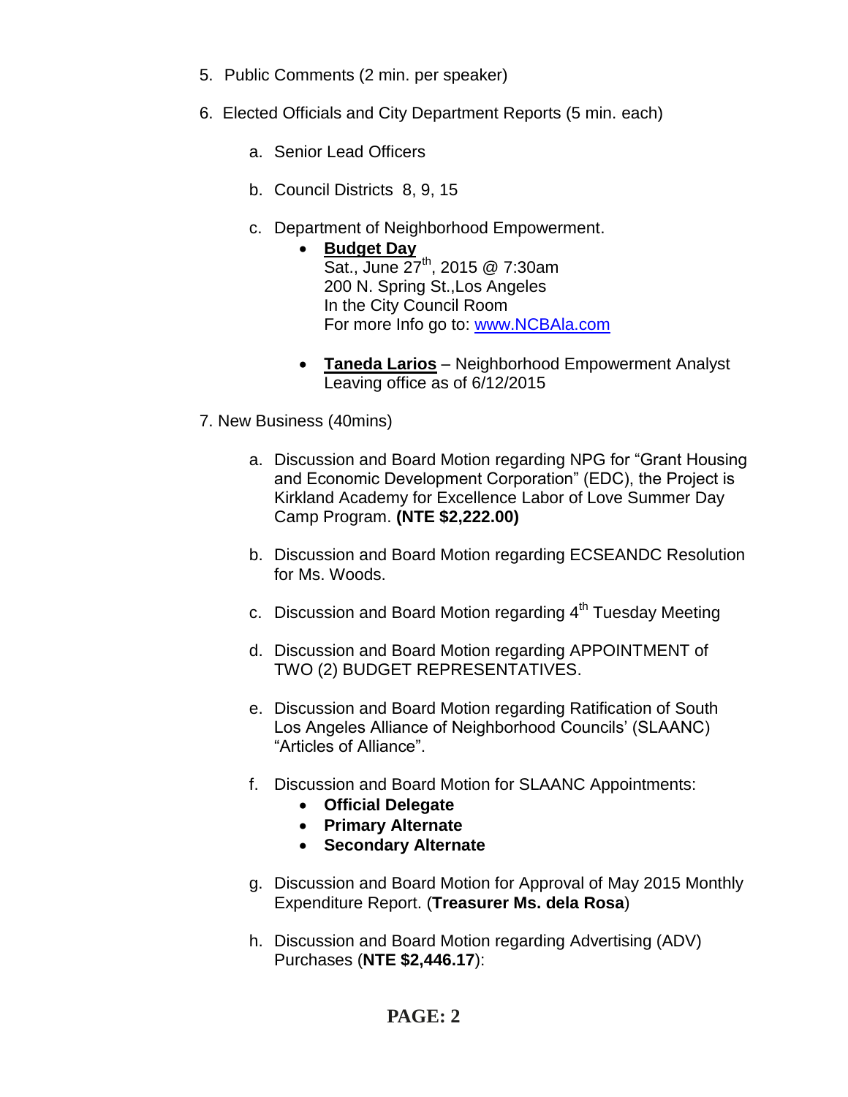- 5. Public Comments (2 min. per speaker)
- 6. Elected Officials and City Department Reports (5 min. each)
	- a. Senior Lead Officers
	- b. Council Districts 8, 9, 15
	- c. Department of Neighborhood Empowerment.
		- **Budget Day** Sat., June 27<sup>th</sup>, 2015 @ 7:30am 200 N. Spring St.,Los Angeles In the City Council Room For more Info go to: [www.NCBAla.com](http://www.ncbala.com/)
		- **Taneda Larios** Neighborhood Empowerment Analyst Leaving office as of 6/12/2015
- 7. New Business (40mins)
	- a. Discussion and Board Motion regarding NPG for "Grant Housing and Economic Development Corporation" (EDC), the Project is Kirkland Academy for Excellence Labor of Love Summer Day Camp Program. **(NTE \$2,222.00)**
	- b. Discussion and Board Motion regarding ECSEANDC Resolution for Ms. Woods.
	- c. Discussion and Board Motion regarding  $4<sup>th</sup>$  Tuesday Meeting
	- d. Discussion and Board Motion regarding APPOINTMENT of TWO (2) BUDGET REPRESENTATIVES.
	- e. Discussion and Board Motion regarding Ratification of South Los Angeles Alliance of Neighborhood Councils' (SLAANC) "Articles of Alliance".
	- f. Discussion and Board Motion for SLAANC Appointments:
		- **Official Delegate**
		- **Primary Alternate**
		- **Secondary Alternate**
	- g. Discussion and Board Motion for Approval of May 2015 Monthly Expenditure Report. (**Treasurer Ms. dela Rosa**)
	- h. Discussion and Board Motion regarding Advertising (ADV) Purchases (**NTE \$2,446.17**):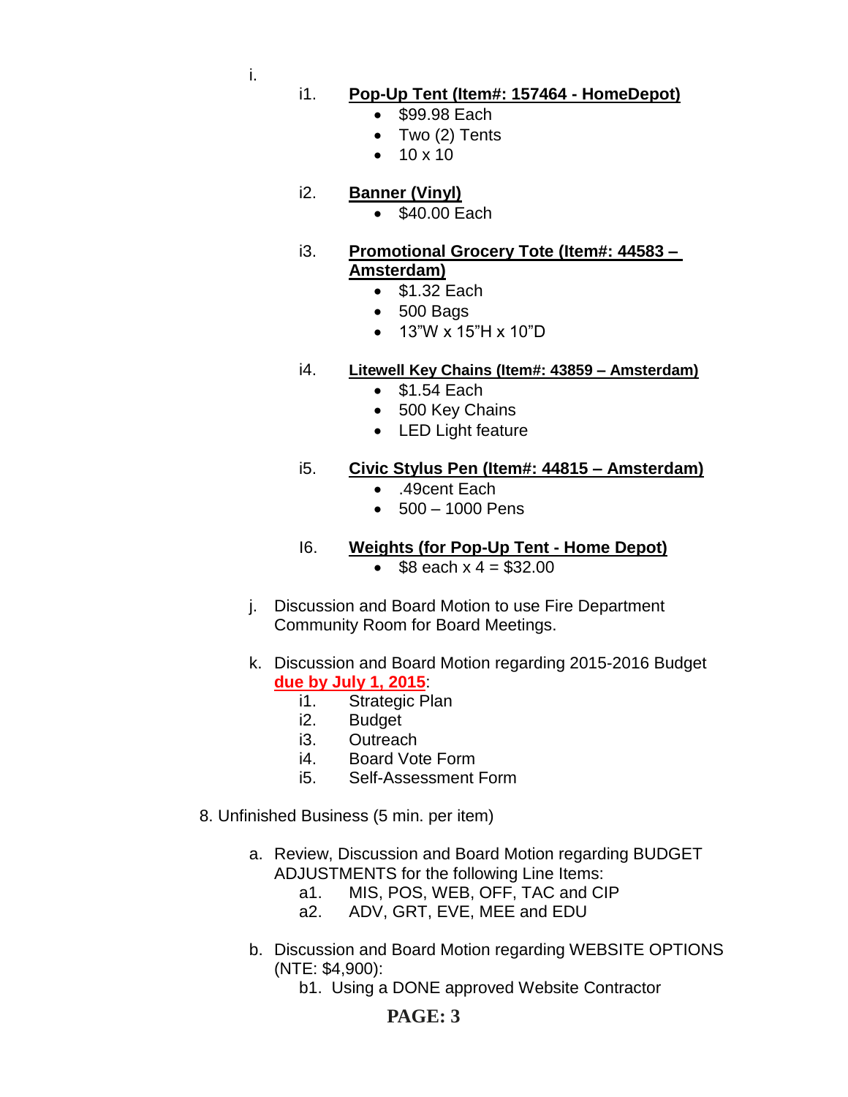i.

- i1. **Pop-Up Tent (Item#: 157464 - HomeDepot)**
	- \$99.98 Each
	- Two (2) Tents
	- $10 \times 10$
- i2. **Banner (Vinyl)**
	- \$40.00 Each
- i3. **Promotional Grocery Tote (Item#: 44583 – Amsterdam)**
	- $\bullet$  \$1.32 Each
	- 500 Bags
	- 13"W x 15"H x 10"D

## i4. **Litewell Key Chains (Item#: 43859 – Amsterdam)**

- $\bullet$  \$1.54 Each
- 500 Key Chains
- LED Light feature

## i5. **Civic Stylus Pen (Item#: 44815 – Amsterdam)**

- .49cent Each
- 500 1000 Pens
- I6. **Weights (for Pop-Up Tent - Home Depot)**  $\bullet$  \$8 each  $x = 4 = 332.00$
- j. Discussion and Board Motion to use Fire Department Community Room for Board Meetings.
- k. Discussion and Board Motion regarding 2015-2016 Budget **due by July 1, 2015**:
	- i1. Strategic Plan
	- i2. Budget
	- i3. Outreach
	- i4. Board Vote Form
	- i5. Self-Assessment Form
- 8. Unfinished Business (5 min. per item)
	- a. Review, Discussion and Board Motion regarding BUDGET ADJUSTMENTS for the following Line Items:
		- a1. MIS, POS, WEB, OFF, TAC and CIP
		- a2. ADV, GRT, EVE, MEE and EDU
	- b. Discussion and Board Motion regarding WEBSITE OPTIONS (NTE: \$4,900):
		- b1. Using a DONE approved Website Contractor

# **PAGE: 3**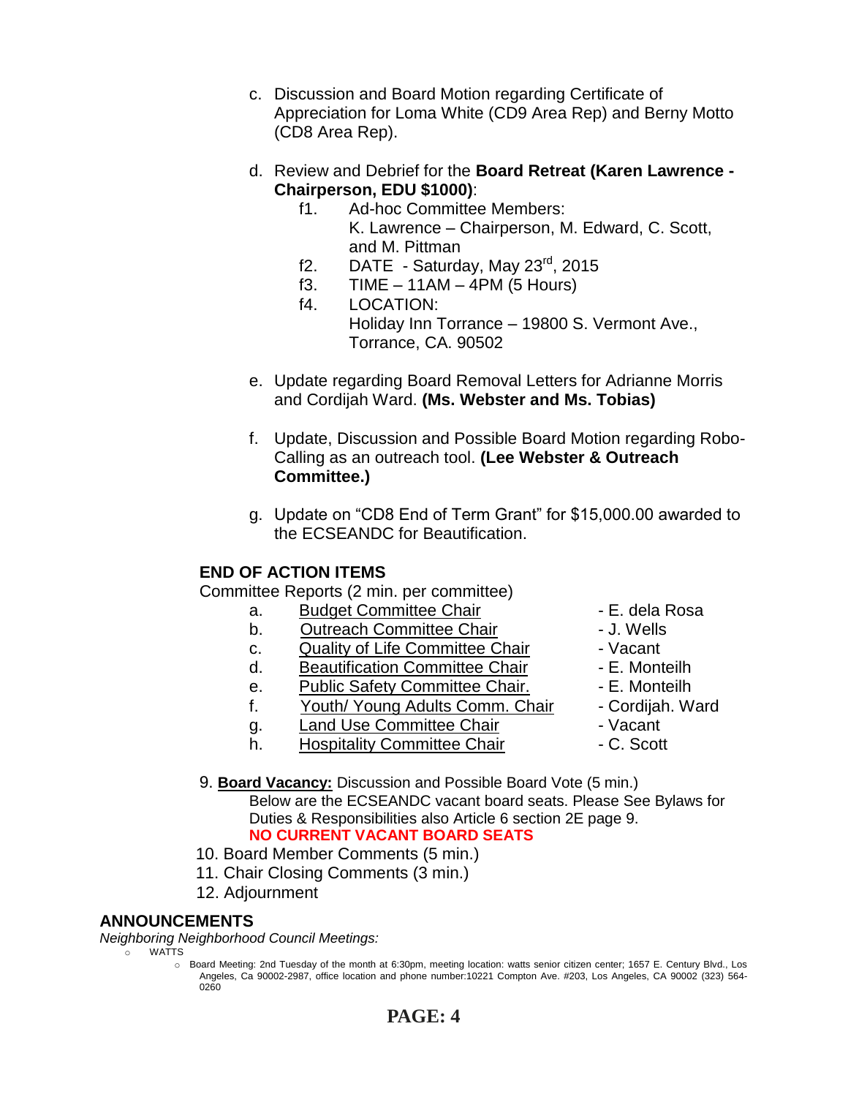- c. Discussion and Board Motion regarding Certificate of Appreciation for Loma White (CD9 Area Rep) and Berny Motto (CD8 Area Rep).
- d. Review and Debrief for the **Board Retreat (Karen Lawrence - Chairperson, EDU \$1000)**:
	- f1. Ad-hoc Committee Members: K. Lawrence – Chairperson, M. Edward, C. Scott, and M. Pittman
	- f2. DATE Saturday, May  $23^{\text{rd}}$ , 2015
	- f3. TIME 11AM 4PM (5 Hours)
	- f4. LOCATION: Holiday Inn Torrance – 19800 S. Vermont Ave., Torrance, CA. 90502
- e. Update regarding Board Removal Letters for Adrianne Morris and Cordijah Ward. **(Ms. Webster and Ms. Tobias)**
- f. Update, Discussion and Possible Board Motion regarding Robo-Calling as an outreach tool. **(Lee Webster & Outreach Committee.)**
- g. Update on "CD8 End of Term Grant" for \$15,000.00 awarded to the ECSEANDC for Beautification.

## **END OF ACTION ITEMS**

Committee Reports (2 min. per committee)

- a. Budget Committee Chair  **E. dela Rosa**
- b. Outreach Committee Chair **Danisland** J. Wells
- c. Quality of Life Committee Chair Vacant
- d. Beautification Committee Chair Fame E. Monteilh
- e. Public Safety Committee Chair. E. Monteilh
- f. Youth/ Young Adults Comm. Chair Cordijah. Ward
- q. Land Use Committee Chair **1988** Vacant
- h. Hospitality Committee Chair  **C. Scott**
- 
- 
- 
- 
- 
- 
- 
- 
- 9. **Board Vacancy:** Discussion and Possible Board Vote (5 min.) Below are the ECSEANDC vacant board seats. Please See Bylaws for Duties & Responsibilities also Article 6 section 2E page 9. **NO CURRENT VACANT BOARD SEATS**
- 10. Board Member Comments (5 min.)
- 11. Chair Closing Comments (3 min.)
- 12. Adjournment

### **ANNOUNCEMENTS**

*Neighboring Neighborhood Council Meetings:*

o WATTS

o Board Meeting: 2nd Tuesday of the month at 6:30pm, meeting location: watts senior citizen center; 1657 E. Century Blvd., Los Angeles, Ca 90002-2987, office location and phone number:10221 Compton Ave. #203, Los Angeles, CA 90002 (323) 564- 0260